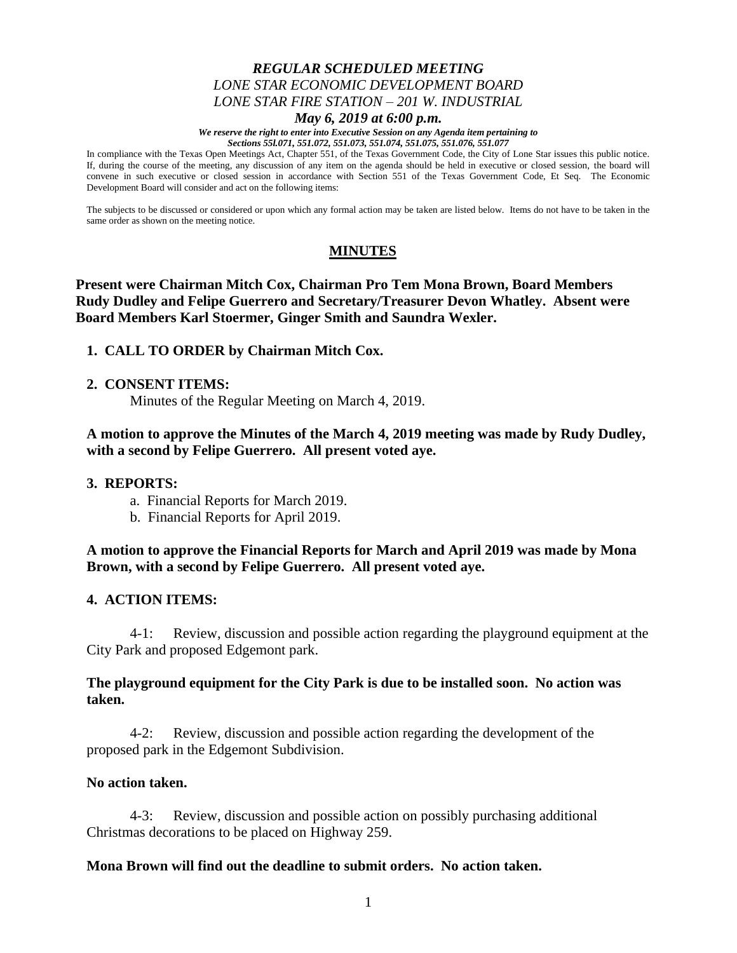# *REGULAR SCHEDULED MEETING LONE STAR ECONOMIC DEVELOPMENT BOARD LONE STAR FIRE STATION – 201 W. INDUSTRIAL*

#### *May 6, 2019 at 6:00 p.m.*

*We reserve the right to enter into Executive Session on any Agenda item pertaining to Sections 55l.071, 551.072, 551.073, 551.074, 551.075, 551.076, 551.077*

In compliance with the Texas Open Meetings Act, Chapter 551, of the Texas Government Code, the City of Lone Star issues this public notice. If, during the course of the meeting, any discussion of any item on the agenda should be held in executive or closed session, the board will convene in such executive or closed session in accordance with Section 551 of the Texas Government Code, Et Seq. The Economic Development Board will consider and act on the following items:

The subjects to be discussed or considered or upon which any formal action may be taken are listed below. Items do not have to be taken in the same order as shown on the meeting notice.

### **MINUTES**

**Present were Chairman Mitch Cox, Chairman Pro Tem Mona Brown, Board Members Rudy Dudley and Felipe Guerrero and Secretary/Treasurer Devon Whatley. Absent were Board Members Karl Stoermer, Ginger Smith and Saundra Wexler.**

### **1. CALL TO ORDER by Chairman Mitch Cox.**

#### **2. CONSENT ITEMS:**

Minutes of the Regular Meeting on March 4, 2019.

**A motion to approve the Minutes of the March 4, 2019 meeting was made by Rudy Dudley, with a second by Felipe Guerrero. All present voted aye.**

#### **3. REPORTS:**

- a. Financial Reports for March 2019.
- b. Financial Reports for April 2019.

**A motion to approve the Financial Reports for March and April 2019 was made by Mona Brown, with a second by Felipe Guerrero. All present voted aye.**

#### **4. ACTION ITEMS:**

4-1: Review, discussion and possible action regarding the playground equipment at the City Park and proposed Edgemont park.

### **The playground equipment for the City Park is due to be installed soon. No action was taken.**

4-2: Review, discussion and possible action regarding the development of the proposed park in the Edgemont Subdivision.

#### **No action taken.**

4-3: Review, discussion and possible action on possibly purchasing additional Christmas decorations to be placed on Highway 259.

#### **Mona Brown will find out the deadline to submit orders. No action taken.**